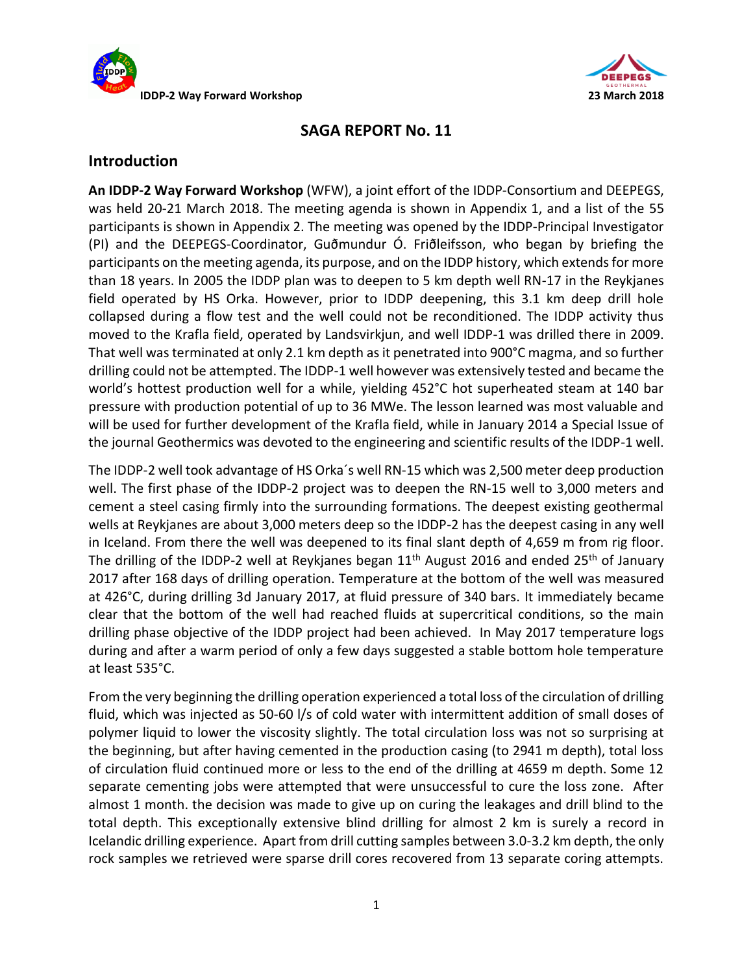



# **SAGA REPORT No. 11**

# **Introduction**

**An IDDP-2 Way Forward Workshop** (WFW), a joint effort of the IDDP-Consortium and DEEPEGS, was held 20-21 March 2018. The meeting agenda is shown in Appendix 1, and a list of the 55 participants is shown in Appendix 2. The meeting was opened by the IDDP-Principal Investigator (PI) and the DEEPEGS-Coordinator, Guðmundur Ó. Friðleifsson, who began by briefing the participants on the meeting agenda, its purpose, and on the IDDP history, which extends for more than 18 years. In 2005 the IDDP plan was to deepen to 5 km depth well RN-17 in the Reykjanes field operated by HS Orka. However, prior to IDDP deepening, this 3.1 km deep drill hole collapsed during a flow test and the well could not be reconditioned. The IDDP activity thus moved to the Krafla field, operated by Landsvirkjun, and well IDDP-1 was drilled there in 2009. That well was terminated at only 2.1 km depth as it penetrated into 900°C magma, and so further drilling could not be attempted. The IDDP-1 well however was extensively tested and became the world's hottest production well for a while, yielding 452°C hot superheated steam at 140 bar pressure with production potential of up to 36 MWe. The lesson learned was most valuable and will be used for further development of the Krafla field, while in January 2014 a Special Issue of the journal Geothermics was devoted to the engineering and scientific results of the IDDP-1 well.

The IDDP-2 well took advantage of HS Orka´s well RN-15 which was 2,500 meter deep production well. The first phase of the IDDP-2 project was to deepen the RN-15 well to 3,000 meters and cement a steel casing firmly into the surrounding formations. The deepest existing geothermal wells at Reykjanes are about 3,000 meters deep so the IDDP-2 has the deepest casing in any well in Iceland. From there the well was deepened to its final slant depth of 4,659 m from rig floor. The drilling of the IDDP-2 well at Reykjanes began  $11<sup>th</sup>$  August 2016 and ended 25<sup>th</sup> of January 2017 after 168 days of drilling operation. Temperature at the bottom of the well was measured at 426°C, during drilling 3d January 2017, at fluid pressure of 340 bars. It immediately became clear that the bottom of the well had reached fluids at supercritical conditions, so the main drilling phase objective of the IDDP project had been achieved. In May 2017 temperature logs during and after a warm period of only a few days suggested a stable bottom hole temperature at least 535°C.

From the very beginning the drilling operation experienced a total loss of the circulation of drilling fluid, which was injected as 50-60 l/s of cold water with intermittent addition of small doses of polymer liquid to lower the viscosity slightly. The total circulation loss was not so surprising at the beginning, but after having cemented in the production casing (to 2941 m depth), total loss of circulation fluid continued more or less to the end of the drilling at 4659 m depth. Some 12 separate cementing jobs were attempted that were unsuccessful to cure the loss zone. After almost 1 month. the decision was made to give up on curing the leakages and drill blind to the total depth. This exceptionally extensive blind drilling for almost 2 km is surely a record in Icelandic drilling experience. Apart from drill cutting samples between 3.0-3.2 km depth, the only rock samples we retrieved were sparse drill cores recovered from 13 separate coring attempts.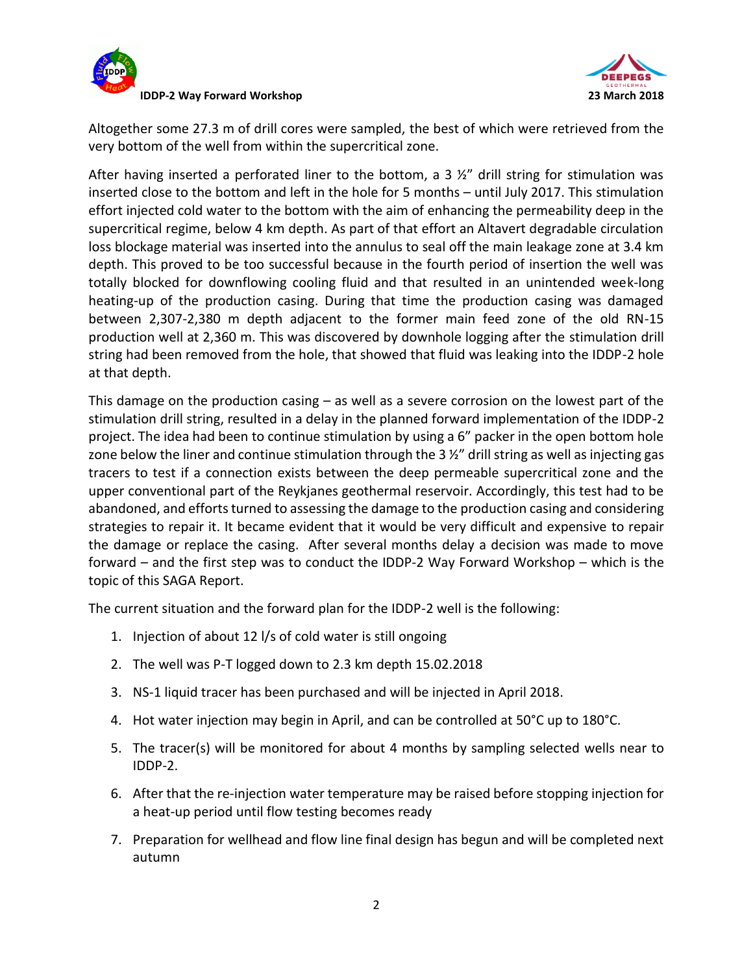



Altogether some 27.3 m of drill cores were sampled, the best of which were retrieved from the very bottom of the well from within the supercritical zone.

After having inserted a perforated liner to the bottom, a  $3 \frac{1}{2}$ " drill string for stimulation was inserted close to the bottom and left in the hole for 5 months – until July 2017. This stimulation effort injected cold water to the bottom with the aim of enhancing the permeability deep in the supercritical regime, below 4 km depth. As part of that effort an Altavert degradable circulation loss blockage material was inserted into the annulus to seal off the main leakage zone at 3.4 km depth. This proved to be too successful because in the fourth period of insertion the well was totally blocked for downflowing cooling fluid and that resulted in an unintended week-long heating-up of the production casing. During that time the production casing was damaged between 2,307-2,380 m depth adjacent to the former main feed zone of the old RN-15 production well at 2,360 m. This was discovered by downhole logging after the stimulation drill string had been removed from the hole, that showed that fluid was leaking into the IDDP-2 hole at that depth.

This damage on the production casing – as well as a severe corrosion on the lowest part of the stimulation drill string, resulted in a delay in the planned forward implementation of the IDDP-2 project. The idea had been to continue stimulation by using a 6" packer in the open bottom hole zone below the liner and continue stimulation through the 3 %" drill string as well as injecting gas tracers to test if a connection exists between the deep permeable supercritical zone and the upper conventional part of the Reykjanes geothermal reservoir. Accordingly, this test had to be abandoned, and efforts turned to assessing the damage to the production casing and considering strategies to repair it. It became evident that it would be very difficult and expensive to repair the damage or replace the casing. After several months delay a decision was made to move forward – and the first step was to conduct the IDDP-2 Way Forward Workshop – which is the topic of this SAGA Report.

The current situation and the forward plan for the IDDP-2 well is the following:

- 1. Injection of about 12 l/s of cold water is still ongoing
- 2. The well was P-T logged down to 2.3 km depth 15.02.2018
- 3. NS-1 liquid tracer has been purchased and will be injected in April 2018.
- 4. Hot water injection may begin in April, and can be controlled at 50°C up to 180°C.
- 5. The tracer(s) will be monitored for about 4 months by sampling selected wells near to IDDP-2.
- 6. After that the re-injection water temperature may be raised before stopping injection for a heat-up period until flow testing becomes ready
- 7. Preparation for wellhead and flow line final design has begun and will be completed next autumn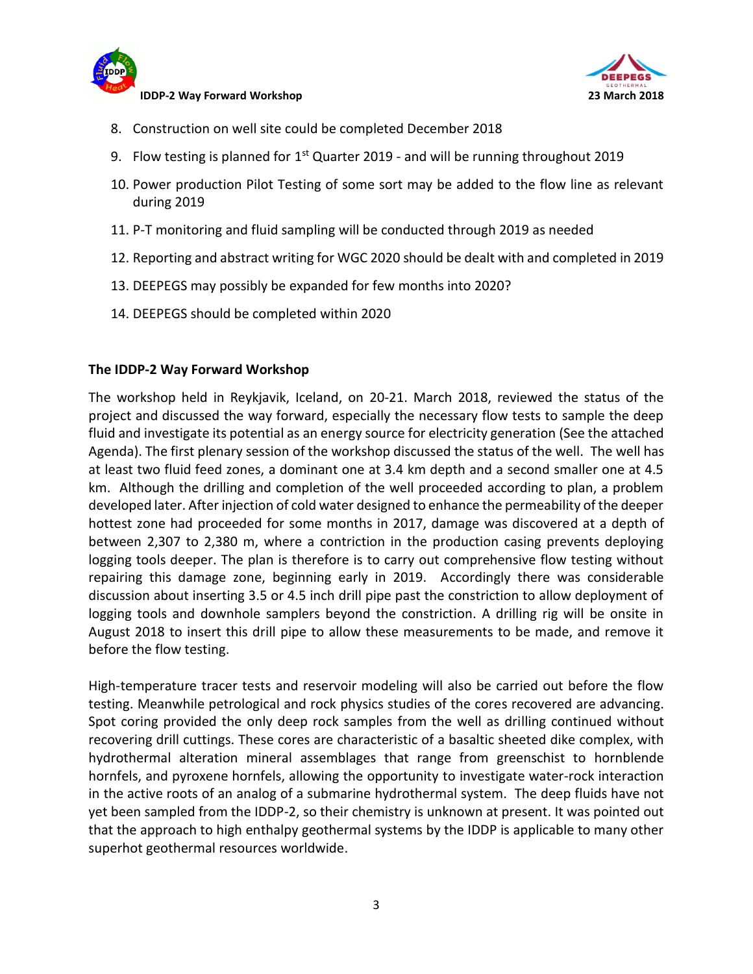



- 8. Construction on well site could be completed December 2018
- 9. Flow testing is planned for 1<sup>st</sup> Quarter 2019 and will be running throughout 2019
- 10. Power production Pilot Testing of some sort may be added to the flow line as relevant during 2019
- 11. P-T monitoring and fluid sampling will be conducted through 2019 as needed
- 12. Reporting and abstract writing for WGC 2020 should be dealt with and completed in 2019
- 13. DEEPEGS may possibly be expanded for few months into 2020?
- 14. DEEPEGS should be completed within 2020

### **The IDDP-2 Way Forward Workshop**

The workshop held in Reykjavik, Iceland, on 20-21. March 2018, reviewed the status of the project and discussed the way forward, especially the necessary flow tests to sample the deep fluid and investigate its potential as an energy source for electricity generation (See the attached Agenda). The first plenary session of the workshop discussed the status of the well. The well has at least two fluid feed zones, a dominant one at 3.4 km depth and a second smaller one at 4.5 km. Although the drilling and completion of the well proceeded according to plan, a problem developed later. After injection of cold water designed to enhance the permeability of the deeper hottest zone had proceeded for some months in 2017, damage was discovered at a depth of between 2,307 to 2,380 m, where a contriction in the production casing prevents deploying logging tools deeper. The plan is therefore is to carry out comprehensive flow testing without repairing this damage zone, beginning early in 2019. Accordingly there was considerable discussion about inserting 3.5 or 4.5 inch drill pipe past the constriction to allow deployment of logging tools and downhole samplers beyond the constriction. A drilling rig will be onsite in August 2018 to insert this drill pipe to allow these measurements to be made, and remove it before the flow testing.

High-temperature tracer tests and reservoir modeling will also be carried out before the flow testing. Meanwhile petrological and rock physics studies of the cores recovered are advancing. Spot coring provided the only deep rock samples from the well as drilling continued without recovering drill cuttings. These cores are characteristic of a basaltic sheeted dike complex, with hydrothermal alteration mineral assemblages that range from greenschist to hornblende hornfels, and pyroxene hornfels, allowing the opportunity to investigate water-rock interaction in the active roots of an analog of a submarine hydrothermal system. The deep fluids have not yet been sampled from the IDDP-2, so their chemistry is unknown at present. It was pointed out that the approach to high enthalpy geothermal systems by the IDDP is applicable to many other superhot geothermal resources worldwide.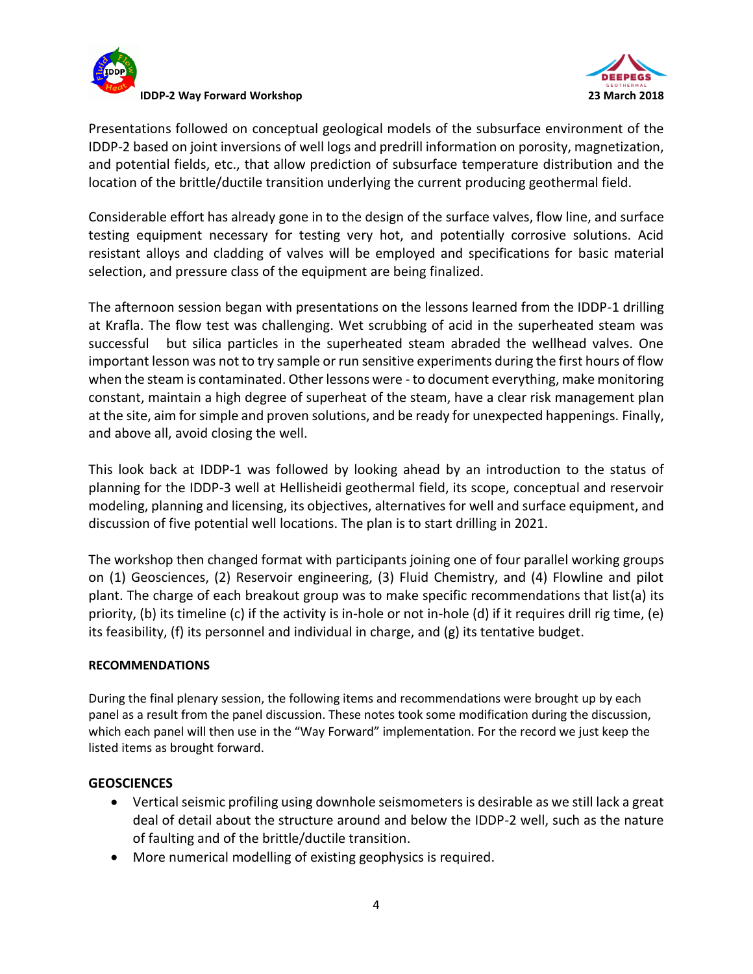



Presentations followed on conceptual geological models of the subsurface environment of the IDDP-2 based on joint inversions of well logs and predrill information on porosity, magnetization, and potential fields, etc., that allow prediction of subsurface temperature distribution and the location of the brittle/ductile transition underlying the current producing geothermal field.

Considerable effort has already gone in to the design of the surface valves, flow line, and surface testing equipment necessary for testing very hot, and potentially corrosive solutions. Acid resistant alloys and cladding of valves will be employed and specifications for basic material selection, and pressure class of the equipment are being finalized.

The afternoon session began with presentations on the lessons learned from the IDDP-1 drilling at Krafla. The flow test was challenging. Wet scrubbing of acid in the superheated steam was successful but silica particles in the superheated steam abraded the wellhead valves. One important lesson was not to try sample or run sensitive experiments during the first hours of flow when the steam is contaminated. Other lessons were - to document everything, make monitoring constant, maintain a high degree of superheat of the steam, have a clear risk management plan at the site, aim for simple and proven solutions, and be ready for unexpected happenings. Finally, and above all, avoid closing the well.

This look back at IDDP-1 was followed by looking ahead by an introduction to the status of planning for the IDDP-3 well at Hellisheidi geothermal field, its scope, conceptual and reservoir modeling, planning and licensing, its objectives, alternatives for well and surface equipment, and discussion of five potential well locations. The plan is to start drilling in 2021.

The workshop then changed format with participants joining one of four parallel working groups on (1) Geosciences, (2) Reservoir engineering, (3) Fluid Chemistry, and (4) Flowline and pilot plant. The charge of each breakout group was to make specific recommendations that list(a) its priority, (b) its timeline (c) if the activity is in-hole or not in-hole (d) if it requires drill rig time, (e) its feasibility, (f) its personnel and individual in charge, and (g) its tentative budget.

### **RECOMMENDATIONS**

During the final plenary session, the following items and recommendations were brought up by each panel as a result from the panel discussion. These notes took some modification during the discussion, which each panel will then use in the "Way Forward" implementation. For the record we just keep the listed items as brought forward.

#### **GEOSCIENCES**

- Vertical seismic profiling using downhole seismometers is desirable as we still lack a great deal of detail about the structure around and below the IDDP-2 well, such as the nature of faulting and of the brittle/ductile transition.
- More numerical modelling of existing geophysics is required.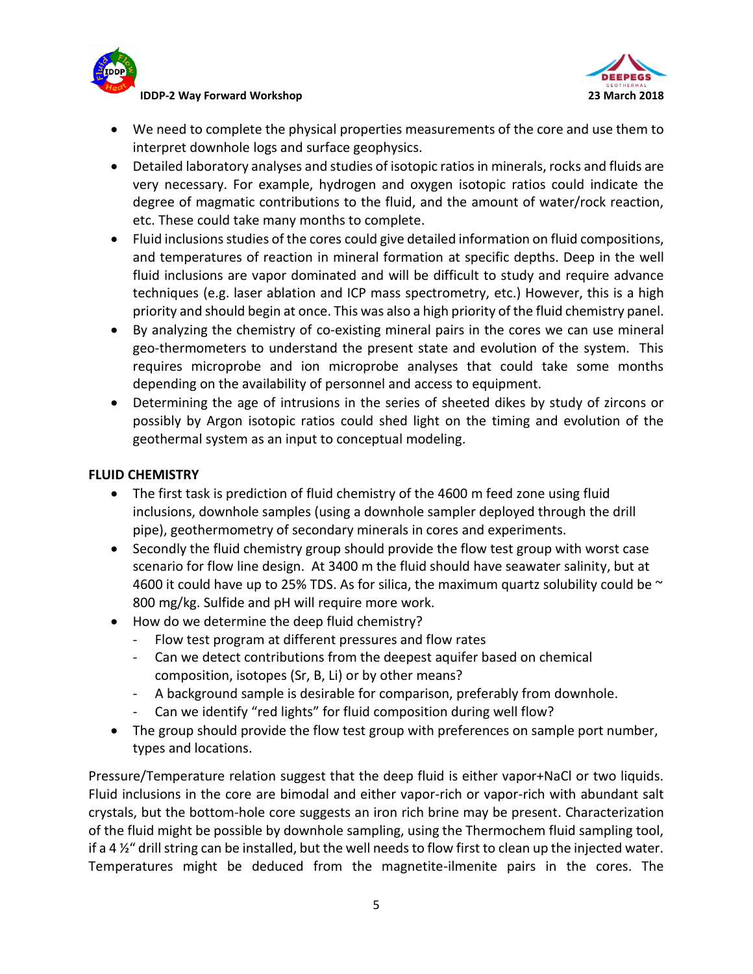

**IDDP-2 Way Forward Workshop 23 March 2018**



- We need to complete the physical properties measurements of the core and use them to interpret downhole logs and surface geophysics.
- Detailed laboratory analyses and studies of isotopic ratios in minerals, rocks and fluids are very necessary. For example, hydrogen and oxygen isotopic ratios could indicate the degree of magmatic contributions to the fluid, and the amount of water/rock reaction, etc. These could take many months to complete.
- Fluid inclusions studies of the cores could give detailed information on fluid compositions, and temperatures of reaction in mineral formation at specific depths. Deep in the well fluid inclusions are vapor dominated and will be difficult to study and require advance techniques (e.g. laser ablation and ICP mass spectrometry, etc.) However, this is a high priority and should begin at once. This was also a high priority of the fluid chemistry panel.
- By analyzing the chemistry of co-existing mineral pairs in the cores we can use mineral geo-thermometers to understand the present state and evolution of the system. This requires microprobe and ion microprobe analyses that could take some months depending on the availability of personnel and access to equipment.
- Determining the age of intrusions in the series of sheeted dikes by study of zircons or possibly by Argon isotopic ratios could shed light on the timing and evolution of the geothermal system as an input to conceptual modeling.

# **FLUID CHEMISTRY**

- The first task is prediction of fluid chemistry of the 4600 m feed zone using fluid inclusions, downhole samples (using a downhole sampler deployed through the drill pipe), geothermometry of secondary minerals in cores and experiments.
- Secondly the fluid chemistry group should provide the flow test group with worst case scenario for flow line design. At 3400 m the fluid should have seawater salinity, but at 4600 it could have up to 25% TDS. As for silica, the maximum quartz solubility could be  $\sim$ 800 mg/kg. Sulfide and pH will require more work.
- How do we determine the deep fluid chemistry?
	- Flow test program at different pressures and flow rates
	- Can we detect contributions from the deepest aquifer based on chemical composition, isotopes (Sr, B, Li) or by other means?
	- A background sample is desirable for comparison, preferably from downhole.
	- Can we identify "red lights" for fluid composition during well flow?
- The group should provide the flow test group with preferences on sample port number, types and locations.

Pressure/Temperature relation suggest that the deep fluid is either vapor+NaCl or two liquids. Fluid inclusions in the core are bimodal and either vapor-rich or vapor-rich with abundant salt crystals, but the bottom-hole core suggests an iron rich brine may be present. Characterization of the fluid might be possible by downhole sampling, using the Thermochem fluid sampling tool, if a 4 %" drill string can be installed, but the well needs to flow first to clean up the injected water. Temperatures might be deduced from the magnetite-ilmenite pairs in the cores. The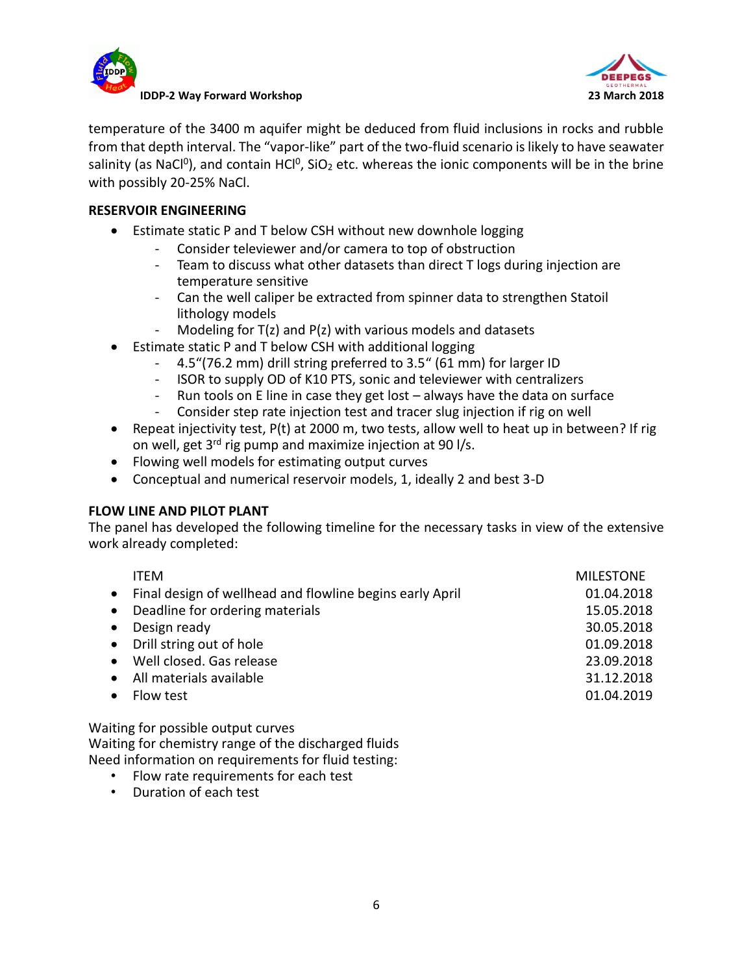



temperature of the 3400 m aquifer might be deduced from fluid inclusions in rocks and rubble from that depth interval. The "vapor-like" part of the two-fluid scenario is likely to have seawater salinity (as NaCl<sup>o</sup>), and contain HCl<sup>o</sup>, SiO<sub>2</sub> etc. whereas the ionic components will be in the brine with possibly 20-25% NaCl.

## **RESERVOIR ENGINEERING**

- Estimate static P and T below CSH without new downhole logging
	- Consider televiewer and/or camera to top of obstruction
	- Team to discuss what other datasets than direct T logs during injection are temperature sensitive
	- Can the well caliper be extracted from spinner data to strengthen Statoil lithology models
	- Modeling for  $T(z)$  and  $P(z)$  with various models and datasets
- Estimate static P and T below CSH with additional logging
	- 4.5"(76.2 mm) drill string preferred to 3.5" (61 mm) for larger ID
	- ISOR to supply OD of K10 PTS, sonic and televiewer with centralizers
	- Run tools on E line in case they get lost always have the data on surface
	- Consider step rate injection test and tracer slug injection if rig on well
- **•** Repeat injectivity test,  $P(t)$  at 2000 m, two tests, allow well to heat up in between? If rig on well, get  $3^{rd}$  rig pump and maximize injection at 90 l/s.
- Flowing well models for estimating output curves
- Conceptual and numerical reservoir models, 1, ideally 2 and best 3-D

### **FLOW LINE AND PILOT PLANT**

The panel has developed the following timeline for the necessary tasks in view of the extensive work already completed:

|           | <b>ITFM</b>                                                | <b>MILESTONE</b> |
|-----------|------------------------------------------------------------|------------------|
|           | • Final design of wellhead and flowline begins early April | 01.04.2018       |
|           | • Deadline for ordering materials                          | 15.05.2018       |
|           | • Design ready                                             | 30.05.2018       |
|           | • Drill string out of hole                                 | 01.09.2018       |
|           | • Well closed. Gas release                                 | 23.09.2018       |
|           | • All materials available                                  | 31.12.2018       |
| $\bullet$ | Flow test                                                  | 01.04.2019       |
|           |                                                            |                  |

Waiting for possible output curves Waiting for chemistry range of the discharged fluids Need information on requirements for fluid testing:

- Flow rate requirements for each test
- Duration of each test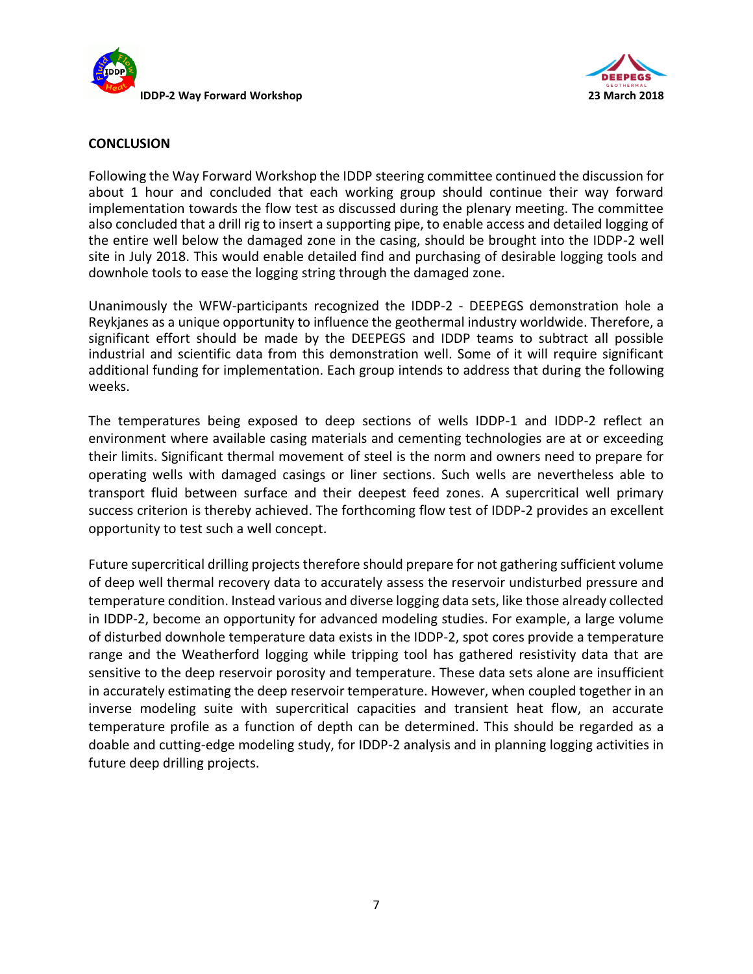



#### **CONCLUSION**

Following the Way Forward Workshop the IDDP steering committee continued the discussion for about 1 hour and concluded that each working group should continue their way forward implementation towards the flow test as discussed during the plenary meeting. The committee also concluded that a drill rig to insert a supporting pipe, to enable access and detailed logging of the entire well below the damaged zone in the casing, should be brought into the IDDP-2 well site in July 2018. This would enable detailed find and purchasing of desirable logging tools and downhole tools to ease the logging string through the damaged zone.

Unanimously the WFW-participants recognized the IDDP-2 - DEEPEGS demonstration hole a Reykjanes as a unique opportunity to influence the geothermal industry worldwide. Therefore, a significant effort should be made by the DEEPEGS and IDDP teams to subtract all possible industrial and scientific data from this demonstration well. Some of it will require significant additional funding for implementation. Each group intends to address that during the following weeks.

The temperatures being exposed to deep sections of wells IDDP-1 and IDDP-2 reflect an environment where available casing materials and cementing technologies are at or exceeding their limits. Significant thermal movement of steel is the norm and owners need to prepare for operating wells with damaged casings or liner sections. Such wells are nevertheless able to transport fluid between surface and their deepest feed zones. A supercritical well primary success criterion is thereby achieved. The forthcoming flow test of IDDP-2 provides an excellent opportunity to test such a well concept.

Future supercritical drilling projects therefore should prepare for not gathering sufficient volume of deep well thermal recovery data to accurately assess the reservoir undisturbed pressure and temperature condition. Instead various and diverse logging data sets, like those already collected in IDDP-2, become an opportunity for advanced modeling studies. For example, a large volume of disturbed downhole temperature data exists in the IDDP-2, spot cores provide a temperature range and the Weatherford logging while tripping tool has gathered resistivity data that are sensitive to the deep reservoir porosity and temperature. These data sets alone are insufficient in accurately estimating the deep reservoir temperature. However, when coupled together in an inverse modeling suite with supercritical capacities and transient heat flow, an accurate temperature profile as a function of depth can be determined. This should be regarded as a doable and cutting-edge modeling study, for IDDP-2 analysis and in planning logging activities in future deep drilling projects.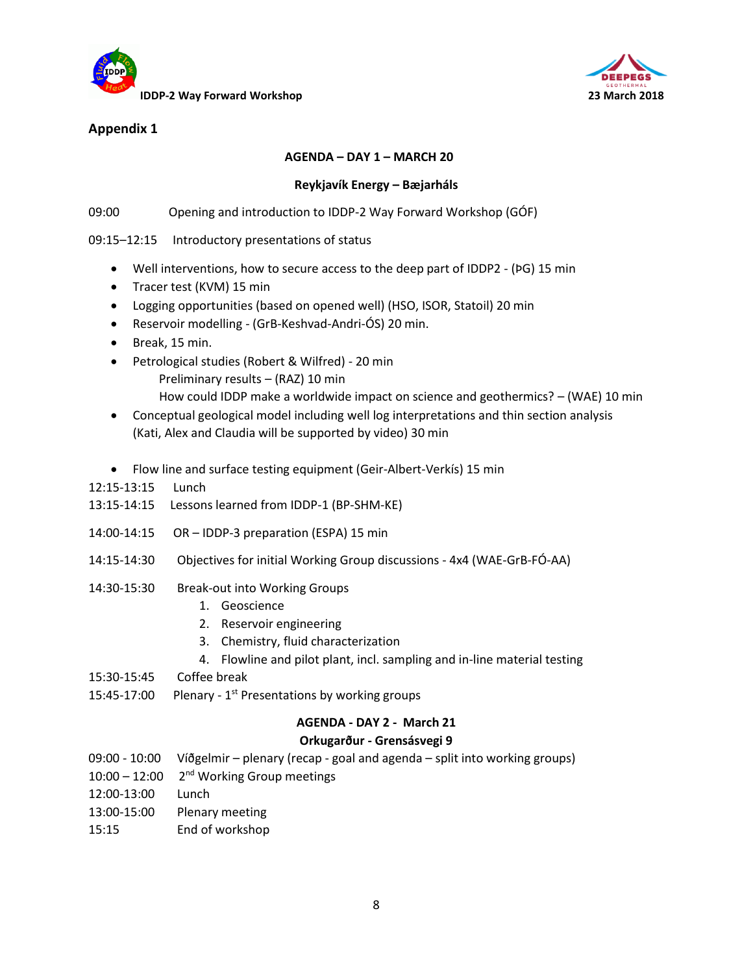



# **Appendix 1**

### **AGENDA – DAY 1 – MARCH 20**

#### **Reykjavík Energy – Bæjarháls**

09:00 Opening and introduction to IDDP-2 Way Forward Workshop (GÓF)

09:15–12:15 Introductory presentations of status

- Well interventions, how to secure access to the deep part of IDDP2 (ÞG) 15 min
- Tracer test (KVM) 15 min
- Logging opportunities (based on opened well) (HSO, ISOR, Statoil) 20 min
- Reservoir modelling (GrB-Keshvad-Andri-ÓS) 20 min.
- Break, 15 min.
- Petrological studies (Robert & Wilfred) 20 min Preliminary results – (RAZ) 10 min How could IDDP make a worldwide impact on science and geothermics? – (WAE) 10 min
- Conceptual geological model including well log interpretations and thin section analysis (Kati, Alex and Claudia will be supported by video) 30 min
- Flow line and surface testing equipment (Geir-Albert-Verkís) 15 min
- 12:15-13:15 Lunch
- 13:15-14:15 Lessons learned from IDDP-1 (BP-SHM-KE)
- 14:00-14:15 OR IDDP-3 preparation (ESPA) 15 min
- 14:15-14:30 Objectives for initial Working Group discussions 4x4 (WAE-GrB-FÓ-AA)
- 14:30-15:30 Break-out into Working Groups
	- 1. Geoscience
	- 2. Reservoir engineering
	- 3. Chemistry, fluid characterization
	- 4. Flowline and pilot plant, incl. sampling and in-line material testing
- 15:30-15:45 Coffee break
- 15:45-17:00 Plenary -  $1<sup>st</sup>$  Presentations by working groups

#### **AGENDA - DAY 2 - March 21**

#### **Orkugarður - Grensásvegi 9**

- 09:00 10:00 Víðgelmir plenary (recap goal and agenda split into working groups)
- 10:00 12:00 2<sup>nd</sup> Working Group meetings
- 12:00-13:00 Lunch
- 13:00-15:00 Plenary meeting
- 15:15 End of workshop